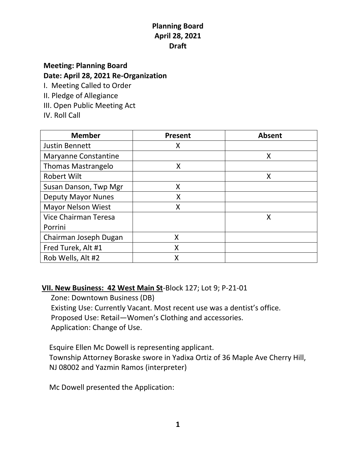## **Planning Board April 28, 2021 Draft**

# **Meeting: Planning Board Date: April 28, 2021 Re-Organization**

I. Meeting Called to Order

- II. Pledge of Allegiance
- III. Open Public Meeting Act
- IV. Roll Call

| <b>Member</b>               | <b>Present</b> | <b>Absent</b> |
|-----------------------------|----------------|---------------|
| <b>Justin Bennett</b>       | Χ              |               |
| <b>Maryanne Constantine</b> |                | Χ             |
| <b>Thomas Mastrangelo</b>   | X              |               |
| <b>Robert Wilt</b>          |                | Χ             |
| Susan Danson, Twp Mgr       | X              |               |
| <b>Deputy Mayor Nunes</b>   | X              |               |
| <b>Mayor Nelson Wiest</b>   | Χ              |               |
| Vice Chairman Teresa        |                | X             |
| Porrini                     |                |               |
| Chairman Joseph Dugan       | X              |               |
| Fred Turek, Alt #1          | X              |               |
| Rob Wells, Alt #2           | Χ              |               |

#### **VII. New Business: 42 West Main St**-Block 127; Lot 9; P-21-01

 Zone: Downtown Business (DB) Existing Use: Currently Vacant. Most recent use was a dentist's office. Proposed Use: Retail—Women's Clothing and accessories. Application: Change of Use.

 Esquire Ellen Mc Dowell is representing applicant. Township Attorney Boraske swore in Yadixa Ortiz of 36 Maple Ave Cherry Hill, NJ 08002 and Yazmin Ramos (interpreter)

Mc Dowell presented the Application: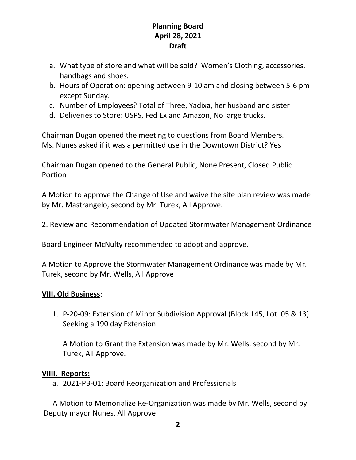### **Planning Board April 28, 2021 Draft**

- a. What type of store and what will be sold? Women's Clothing, accessories, handbags and shoes.
- b. Hours of Operation: opening between 9-10 am and closing between 5-6 pm except Sunday.
- c. Number of Employees? Total of Three, Yadixa, her husband and sister
- d. Deliveries to Store: USPS, Fed Ex and Amazon, No large trucks.

Chairman Dugan opened the meeting to questions from Board Members. Ms. Nunes asked if it was a permitted use in the Downtown District? Yes

Chairman Dugan opened to the General Public, None Present, Closed Public Portion

A Motion to approve the Change of Use and waive the site plan review was made by Mr. Mastrangelo, second by Mr. Turek, All Approve.

2. Review and Recommendation of Updated Stormwater Management Ordinance

Board Engineer McNulty recommended to adopt and approve.

A Motion to Approve the Stormwater Management Ordinance was made by Mr. Turek, second by Mr. Wells, All Approve

#### **VIII. Old Business**:

1. P-20-09: Extension of Minor Subdivision Approval (Block 145, Lot .05 & 13) Seeking a 190 day Extension

A Motion to Grant the Extension was made by Mr. Wells, second by Mr. Turek, All Approve.

#### **VIIII. Reports:**

a. 2021-PB-01: Board Reorganization and Professionals

 A Motion to Memorialize Re-Organization was made by Mr. Wells, second by Deputy mayor Nunes, All Approve